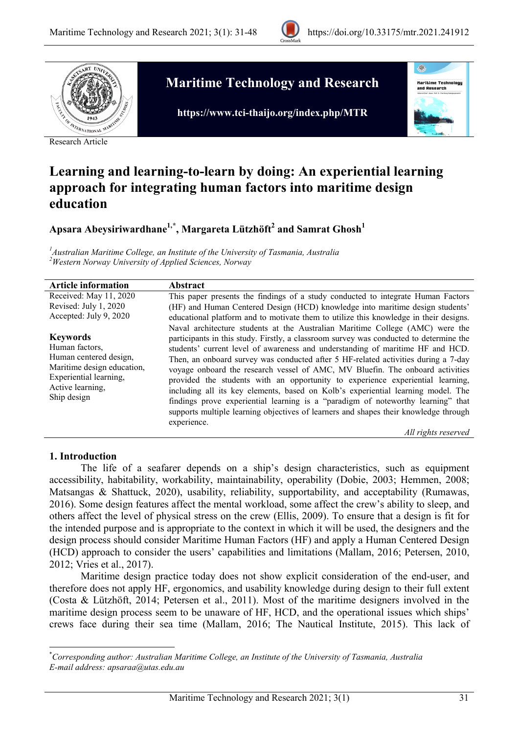



Research Article

# **Maritime Technology and Research**

**https://www.tci-thaijo.org/index.php/MTR**



# **Learning and learning-to-learn by doing: An experiential learning approach for integrating human factors into maritime design education**

**Apsara Abeysiriwardhane1,** *0F* **\* , Margareta Lützhöft2 and Samrat Ghosh<sup>1</sup>**

*1 Australian Maritime College, an Institute of the University of Tasmania, Australia 2 Western Norway University of Applied Sciences, Norway*

| <b>Article information</b>                                                                                                                             | Abstract                                                                                                                                                                                                                                                                                                                                                                                                                                                                                                                                                                                                                                                                                                                                                                                                                 |
|--------------------------------------------------------------------------------------------------------------------------------------------------------|--------------------------------------------------------------------------------------------------------------------------------------------------------------------------------------------------------------------------------------------------------------------------------------------------------------------------------------------------------------------------------------------------------------------------------------------------------------------------------------------------------------------------------------------------------------------------------------------------------------------------------------------------------------------------------------------------------------------------------------------------------------------------------------------------------------------------|
| Received: May 11, 2020                                                                                                                                 | This paper presents the findings of a study conducted to integrate Human Factors                                                                                                                                                                                                                                                                                                                                                                                                                                                                                                                                                                                                                                                                                                                                         |
| Revised: July 1, 2020                                                                                                                                  | (HF) and Human Centered Design (HCD) knowledge into maritime design students'                                                                                                                                                                                                                                                                                                                                                                                                                                                                                                                                                                                                                                                                                                                                            |
| Accepted: July 9, 2020                                                                                                                                 | educational platform and to motivate them to utilize this knowledge in their designs.                                                                                                                                                                                                                                                                                                                                                                                                                                                                                                                                                                                                                                                                                                                                    |
| <b>Keywords</b><br>Human factors,<br>Human centered design,<br>Maritime design education,<br>Experiential learning,<br>Active learning,<br>Ship design | Naval architecture students at the Australian Maritime College (AMC) were the<br>participants in this study. Firstly, a classroom survey was conducted to determine the<br>students' current level of awareness and understanding of maritime HF and HCD.<br>Then, an onboard survey was conducted after 5 HF-related activities during a 7-day<br>voyage onboard the research vessel of AMC, MV Bluefin. The onboard activities<br>provided the students with an opportunity to experience experiential learning,<br>including all its key elements, based on Kolb's experiential learning model. The<br>findings prove experiential learning is a "paradigm of noteworthy learning" that<br>supports multiple learning objectives of learners and shapes their knowledge through<br>experience.<br>All rights reserved |

### **1. Introduction**

The life of a seafarer depends on a ship's design characteristics, such as equipment accessibility, habitability, workability, maintainability, operability (Dobie, 2003; Hemmen, 2008; Matsangas & Shattuck, 2020), usability, reliability, supportability, and acceptability (Rumawas, 2016). Some design features affect the mental workload, some affect the crew's ability to sleep, and others affect the level of physical stress on the crew (Ellis, 2009). To ensure that a design is fit for the intended purpose and is appropriate to the context in which it will be used, the designers and the design process should consider Maritime Human Factors (HF) and apply a Human Centered Design (HCD) approach to consider the users' capabilities and limitations (Mallam, 2016; Petersen, 2010, 2012; Vries et al., 2017).

Maritime design practice today does not show explicit consideration of the end-user, and therefore does not apply HF, ergonomics, and usability knowledge during design to their full extent (Costa & Lützhöft, 2014; Petersen et al., 2011). Most of the maritime designers involved in the maritime design process seem to be unaware of HF, HCD, and the operational issues which ships' crews face during their sea time (Mallam, 2016; The Nautical Institute, 2015). This lack of

\* *Corresponding author: Australian Maritime College, an Institute of the University of Tasmania, Australia E-mail address: apsaraa@utas.edu.au*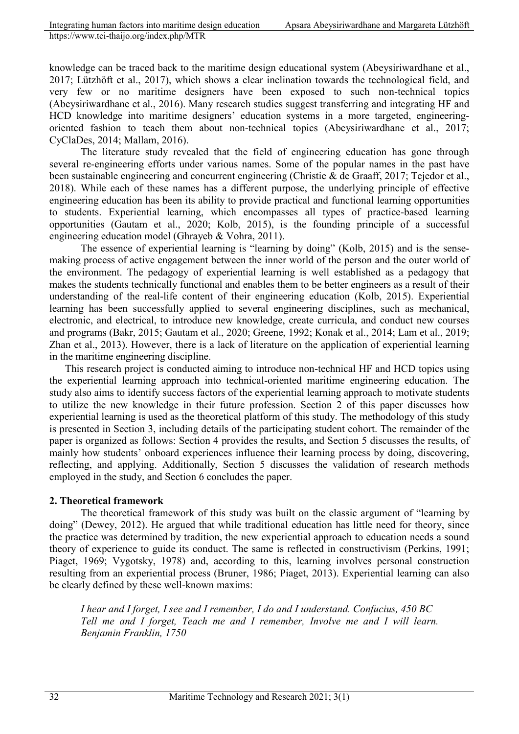knowledge can be traced back to the maritime design educational system (Abeysiriwardhane et al., 2017; Lützhöft et al., 2017), which shows a clear inclination towards the technological field, and very few or no maritime designers have been exposed to such non-technical topics (Abeysiriwardhane et al., 2016). Many research studies suggest transferring and integrating HF and HCD knowledge into maritime designers' education systems in a more targeted, engineeringoriented fashion to teach them about non-technical topics (Abeysiriwardhane et al., 2017; CyClaDes, 2014; Mallam, 2016).

The literature study revealed that the field of engineering education has gone through several re-engineering efforts under various names. Some of the popular names in the past have been sustainable engineering and concurrent engineering (Christie & de Graaff, 2017; Tejedor et al., 2018). While each of these names has a different purpose, the underlying principle of effective engineering education has been its ability to provide practical and functional learning opportunities to students. Experiential learning, which encompasses all types of practice-based learning opportunities (Gautam et al., 2020; Kolb, 2015), is the founding principle of a successful engineering education model (Ghrayeb & Vohra, 2011).

The essence of experiential learning is "learning by doing" (Kolb, 2015) and is the sensemaking process of active engagement between the inner world of the person and the outer world of the environment. The pedagogy of experiential learning is well established as a pedagogy that makes the students technically functional and enables them to be better engineers as a result of their understanding of the real-life content of their engineering education (Kolb, 2015). Experiential learning has been successfully applied to several engineering disciplines, such as mechanical, electronic, and electrical, to introduce new knowledge, create curricula, and conduct new courses and programs (Bakr, 2015; Gautam et al., 2020; Greene, 1992; Konak et al., 2014; Lam et al., 2019; Zhan et al., 2013). However, there is a lack of literature on the application of experiential learning in the maritime engineering discipline.

This research project is conducted aiming to introduce non-technical HF and HCD topics using the experiential learning approach into technical-oriented maritime engineering education. The study also aims to identify success factors of the experiential learning approach to motivate students to utilize the new knowledge in their future profession. Section 2 of this paper discusses how experiential learning is used as the theoretical platform of this study. The methodology of this study is presented in Section 3, including details of the participating student cohort. The remainder of the paper is organized as follows: Section 4 provides the results, and Section 5 discusses the results, of mainly how students' onboard experiences influence their learning process by doing, discovering, reflecting, and applying. Additionally, Section 5 discusses the validation of research methods employed in the study, and Section 6 concludes the paper.

### **2. Theoretical framework**

The theoretical framework of this study was built on the classic argument of "learning by doing" (Dewey, 2012). He argued that while traditional education has little need for theory, since the practice was determined by tradition, the new experiential approach to education needs a sound theory of experience to guide its conduct. The same is reflected in constructivism (Perkins, 1991; Piaget, 1969; Vygotsky, 1978) and, according to this, learning involves personal construction resulting from an experiential process (Bruner, 1986; Piaget, 2013). Experiential learning can also be clearly defined by these well-known maxims:

*I hear and I forget, I see and I remember, I do and I understand. Confucius, 450 BC Tell me and I forget, Teach me and I remember, Involve me and I will learn. Benjamin Franklin, 1750*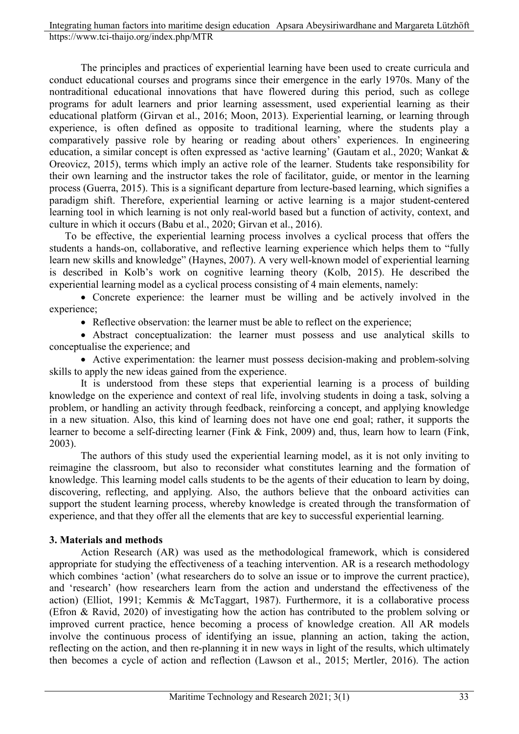The principles and practices of experiential learning have been used to create curricula and conduct educational courses and programs since their emergence in the early 1970s. Many of the nontraditional educational innovations that have flowered during this period, such as college programs for adult learners and prior learning assessment, used experiential learning as their educational platform (Girvan et al., 2016; Moon, 2013). Experiential learning, or learning through experience, is often defined as opposite to traditional learning, where the students play a comparatively passive role by hearing or reading about others' experiences. In engineering education, a similar concept is often expressed as 'active learning' (Gautam et al., 2020; Wankat & Oreovicz, 2015), terms which imply an active role of the learner. Students take responsibility for their own learning and the instructor takes the role of facilitator, guide, or mentor in the learning process (Guerra, 2015). This is a significant departure from lecture-based learning, which signifies a paradigm shift. Therefore, experiential learning or active learning is a major student-centered learning tool in which learning is not only real-world based but a function of activity, context, and culture in which it occurs (Babu et al., 2020; Girvan et al., 2016).

To be effective, the experiential learning process involves a cyclical process that offers the students a hands-on, collaborative, and reflective learning experience which helps them to "fully learn new skills and knowledge" (Haynes, 2007). A very well-known model of experiential learning is described in Kolb's work on cognitive learning theory (Kolb, 2015). He described the experiential learning model as a cyclical process consisting of 4 main elements, namely:

• Concrete experience: the learner must be willing and be actively involved in the experience;

• Reflective observation: the learner must be able to reflect on the experience;

• Abstract conceptualization: the learner must possess and use analytical skills to conceptualise the experience; and

• Active experimentation: the learner must possess decision-making and problem-solving skills to apply the new ideas gained from the experience.

It is understood from these steps that experiential learning is a process of building knowledge on the experience and context of real life, involving students in doing a task, solving a problem, or handling an activity through feedback, reinforcing a concept, and applying knowledge in a new situation. Also, this kind of learning does not have one end goal; rather, it supports the learner to become a self-directing learner (Fink & Fink, 2009) and, thus, learn how to learn (Fink, 2003).

The authors of this study used the experiential learning model, as it is not only inviting to reimagine the classroom, but also to reconsider what constitutes learning and the formation of knowledge. This learning model calls students to be the agents of their education to learn by doing, discovering, reflecting, and applying. Also, the authors believe that the onboard activities can support the student learning process, whereby knowledge is created through the transformation of experience, and that they offer all the elements that are key to successful experiential learning.

## **3. Materials and methods**

Action Research (AR) was used as the methodological framework, which is considered appropriate for studying the effectiveness of a teaching intervention. AR is a research methodology which combines 'action' (what researchers do to solve an issue or to improve the current practice), and 'research' (how researchers learn from the action and understand the effectiveness of the action) (Elliot, 1991; Kemmis & McTaggart, 1987). Furthermore, it is a collaborative process (Efron & Ravid, 2020) of investigating how the action has contributed to the problem solving or improved current practice, hence becoming a process of knowledge creation. All AR models involve the continuous process of identifying an issue, planning an action, taking the action, reflecting on the action, and then re-planning it in new ways in light of the results, which ultimately then becomes a cycle of action and reflection (Lawson et al., 2015; Mertler, 2016). The action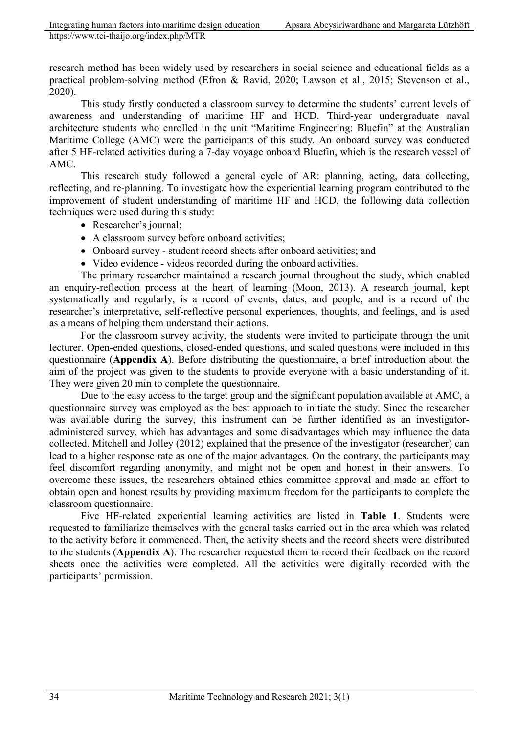research method has been widely used by researchers in social science and educational fields as a practical problem-solving method (Efron & Ravid, 2020; Lawson et al., 2015; Stevenson et al., 2020).

This study firstly conducted a classroom survey to determine the students' current levels of awareness and understanding of maritime HF and HCD. Third-year undergraduate naval architecture students who enrolled in the unit "Maritime Engineering: Bluefin" at the Australian Maritime College (AMC) were the participants of this study. An onboard survey was conducted after 5 HF-related activities during a 7-day voyage onboard Bluefin, which is the research vessel of AMC.

This research study followed a general cycle of AR: planning, acting, data collecting, reflecting, and re-planning. To investigate how the experiential learning program contributed to the improvement of student understanding of maritime HF and HCD, the following data collection techniques were used during this study:

- Researcher's journal;
- A classroom survey before onboard activities;
- Onboard survey student record sheets after onboard activities; and
- Video evidence videos recorded during the onboard activities.

The primary researcher maintained a research journal throughout the study, which enabled an enquiry-reflection process at the heart of learning (Moon, 2013). A research journal, kept systematically and regularly, is a record of events, dates, and people, and is a record of the researcher's interpretative, self-reflective personal experiences, thoughts, and feelings, and is used as a means of helping them understand their actions.

For the classroom survey activity, the students were invited to participate through the unit lecturer. Open-ended questions, closed-ended questions, and scaled questions were included in this questionnaire (**Appendix A**). Before distributing the questionnaire, a brief introduction about the aim of the project was given to the students to provide everyone with a basic understanding of it. They were given 20 min to complete the questionnaire.

Due to the easy access to the target group and the significant population available at AMC, a questionnaire survey was employed as the best approach to initiate the study. Since the researcher was available during the survey, this instrument can be further identified as an investigatoradministered survey, which has advantages and some disadvantages which may influence the data collected. Mitchell and Jolley (2012) explained that the presence of the investigator (researcher) can lead to a higher response rate as one of the major advantages. On the contrary, the participants may feel discomfort regarding anonymity, and might not be open and honest in their answers. To overcome these issues, the researchers obtained ethics committee approval and made an effort to obtain open and honest results by providing maximum freedom for the participants to complete the classroom questionnaire.

Five HF-related experiential learning activities are listed in **Table 1**. Students were requested to familiarize themselves with the general tasks carried out in the area which was related to the activity before it commenced. Then, the activity sheets and the record sheets were distributed to the students (**Appendix A**). The researcher requested them to record their feedback on the record sheets once the activities were completed. All the activities were digitally recorded with the participants' permission.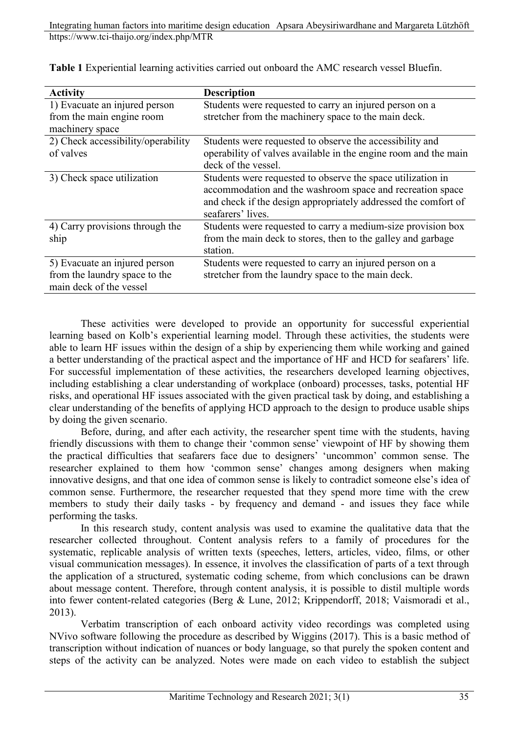| <b>Activity</b>                    | <b>Description</b>                                              |
|------------------------------------|-----------------------------------------------------------------|
| 1) Evacuate an injured person      | Students were requested to carry an injured person on a         |
| from the main engine room          | stretcher from the machinery space to the main deck.            |
| machinery space                    |                                                                 |
| 2) Check accessibility/operability | Students were requested to observe the accessibility and        |
| of valves                          | operability of valves available in the engine room and the main |
|                                    | deck of the vessel.                                             |
| 3) Check space utilization         | Students were requested to observe the space utilization in     |
|                                    | accommodation and the washroom space and recreation space       |
|                                    | and check if the design appropriately addressed the comfort of  |
|                                    | seafarers' lives.                                               |
| 4) Carry provisions through the    | Students were requested to carry a medium-size provision box    |
| ship                               | from the main deck to stores, then to the galley and garbage    |
|                                    | station.                                                        |
| 5) Evacuate an injured person      | Students were requested to carry an injured person on a         |
| from the laundry space to the      | stretcher from the laundry space to the main deck.              |
| main deck of the vessel            |                                                                 |

**Table 1** Experiential learning activities carried out onboard the AMC research vessel Bluefin.

These activities were developed to provide an opportunity for successful experiential learning based on Kolb's experiential learning model. Through these activities, the students were able to learn HF issues within the design of a ship by experiencing them while working and gained a better understanding of the practical aspect and the importance of HF and HCD for seafarers' life. For successful implementation of these activities, the researchers developed learning objectives, including establishing a clear understanding of workplace (onboard) processes, tasks, potential HF risks, and operational HF issues associated with the given practical task by doing, and establishing a clear understanding of the benefits of applying HCD approach to the design to produce usable ships by doing the given scenario.

Before, during, and after each activity, the researcher spent time with the students, having friendly discussions with them to change their 'common sense' viewpoint of HF by showing them the practical difficulties that seafarers face due to designers' 'uncommon' common sense. The researcher explained to them how 'common sense' changes among designers when making innovative designs, and that one idea of common sense is likely to contradict someone else's idea of common sense. Furthermore, the researcher requested that they spend more time with the crew members to study their daily tasks - by frequency and demand - and issues they face while performing the tasks.

In this research study, content analysis was used to examine the qualitative data that the researcher collected throughout. Content analysis refers to a family of procedures for the systematic, replicable analysis of written texts (speeches, letters, articles, video, films, or other visual communication messages). In essence, it involves the classification of parts of a text through the application of a structured, systematic coding scheme, from which conclusions can be drawn about message content. Therefore, through content analysis, it is possible to distil multiple words into fewer content-related categories (Berg & Lune, 2012; Krippendorff, 2018; Vaismoradi et al., 2013).

Verbatim transcription of each onboard activity video recordings was completed using NVivo software following the procedure as described by Wiggins (2017). This is a basic method of transcription without indication of nuances or body language, so that purely the spoken content and steps of the activity can be analyzed. Notes were made on each video to establish the subject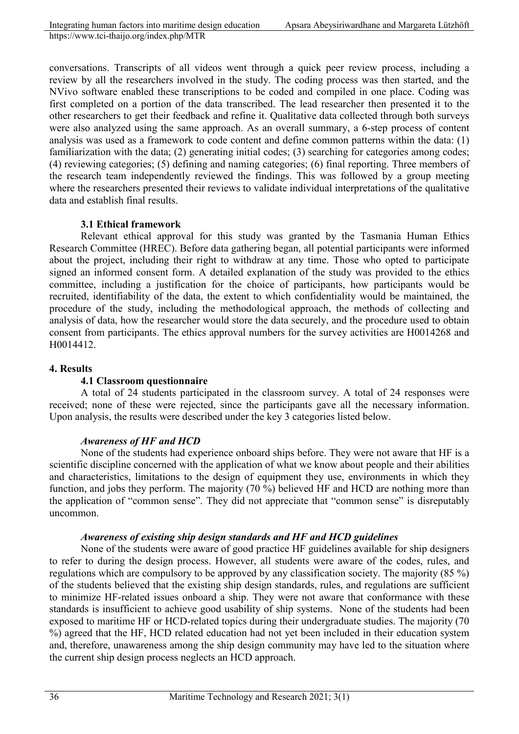conversations. Transcripts of all videos went through a quick peer review process, including a review by all the researchers involved in the study. The coding process was then started, and the NVivo software enabled these transcriptions to be coded and compiled in one place. Coding was first completed on a portion of the data transcribed. The lead researcher then presented it to the other researchers to get their feedback and refine it. Qualitative data collected through both surveys were also analyzed using the same approach. As an overall summary, a 6-step process of content analysis was used as a framework to code content and define common patterns within the data: (1) familiarization with the data; (2) generating initial codes; (3) searching for categories among codes; (4) reviewing categories; (5) defining and naming categories; (6) final reporting. Three members of the research team independently reviewed the findings. This was followed by a group meeting where the researchers presented their reviews to validate individual interpretations of the qualitative data and establish final results.

## **3.1 Ethical framework**

Relevant ethical approval for this study was granted by the Tasmania Human Ethics Research Committee (HREC). Before data gathering began, all potential participants were informed about the project, including their right to withdraw at any time. Those who opted to participate signed an informed consent form. A detailed explanation of the study was provided to the ethics committee, including a justification for the choice of participants, how participants would be recruited, identifiability of the data, the extent to which confidentiality would be maintained, the procedure of the study, including the methodological approach, the methods of collecting and analysis of data, how the researcher would store the data securely, and the procedure used to obtain consent from participants. The ethics approval numbers for the survey activities are H0014268 and H0014412.

### **4. Results**

### **4.1 Classroom questionnaire**

A total of 24 students participated in the classroom survey. A total of 24 responses were received; none of these were rejected, since the participants gave all the necessary information. Upon analysis, the results were described under the key 3 categories listed below.

### *Awareness of HF and HCD*

None of the students had experience onboard ships before. They were not aware that HF is a scientific discipline concerned with the application of what we know about people and their abilities and characteristics, limitations to the design of equipment they use, environments in which they function, and jobs they perform. The majority (70 %) believed HF and HCD are nothing more than the application of "common sense". They did not appreciate that "common sense" is disreputably uncommon.

### *Awareness of existing ship design standards and HF and HCD guidelines*

None of the students were aware of good practice HF guidelines available for ship designers to refer to during the design process. However, all students were aware of the codes, rules, and regulations which are compulsory to be approved by any classification society. The majority (85 %) of the students believed that the existing ship design standards, rules, and regulations are sufficient to minimize HF-related issues onboard a ship. They were not aware that conformance with these standards is insufficient to achieve good usability of ship systems. None of the students had been exposed to maritime HF or HCD-related topics during their undergraduate studies. The majority (70 %) agreed that the HF, HCD related education had not yet been included in their education system and, therefore, unawareness among the ship design community may have led to the situation where the current ship design process neglects an HCD approach.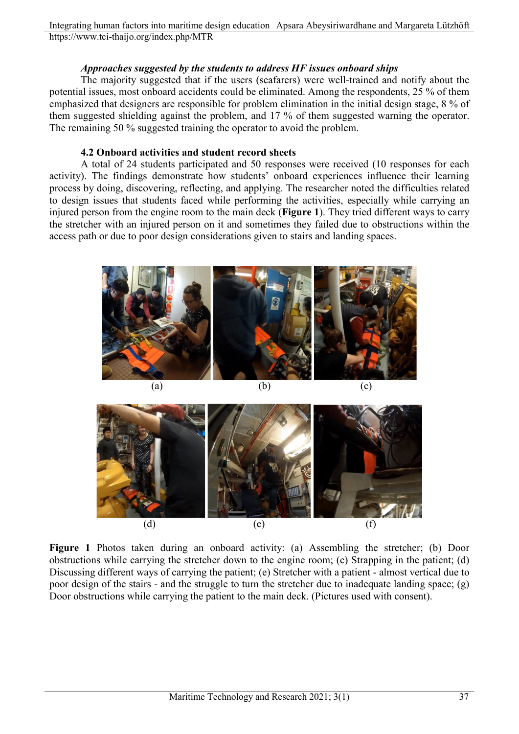Integrating human factors into maritime design education Apsara Abeysiriwardhane and Margareta Lützhöft https://www.tci-thaijo.org/index.php/MTR

### *Approaches suggested by the students to address HF issues onboard ships*

The majority suggested that if the users (seafarers) were well-trained and notify about the potential issues, most onboard accidents could be eliminated. Among the respondents, 25 % of them emphasized that designers are responsible for problem elimination in the initial design stage, 8 % of them suggested shielding against the problem, and 17 % of them suggested warning the operator. The remaining 50 % suggested training the operator to avoid the problem.

### **4.2 Onboard activities and student record sheets**

A total of 24 students participated and 50 responses were received (10 responses for each activity). The findings demonstrate how students' onboard experiences influence their learning process by doing, discovering, reflecting, and applying. The researcher noted the difficulties related to design issues that students faced while performing the activities, especially while carrying an injured person from the engine room to the main deck (**Figure 1**). They tried different ways to carry the stretcher with an injured person on it and sometimes they failed due to obstructions within the access path or due to poor design considerations given to stairs and landing spaces.



(a)  $(b)$  (c)





**Figure 1** Photos taken during an onboard activity: (a) Assembling the stretcher; (b) Door obstructions while carrying the stretcher down to the engine room; (c) Strapping in the patient; (d) Discussing different ways of carrying the patient; (e) Stretcher with a patient - almost vertical due to poor design of the stairs - and the struggle to turn the stretcher due to inadequate landing space; (g) Door obstructions while carrying the patient to the main deck. (Pictures used with consent).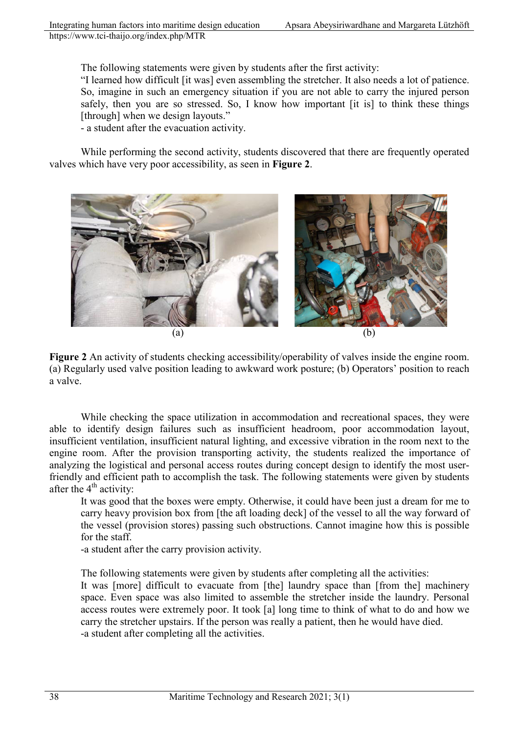The following statements were given by students after the first activity:

"I learned how difficult [it was] even assembling the stretcher. It also needs a lot of patience. So, imagine in such an emergency situation if you are not able to carry the injured person safely, then you are so stressed. So, I know how important [it is] to think these things [through] when we design layouts."

- a student after the evacuation activity.

While performing the second activity, students discovered that there are frequently operated valves which have very poor accessibility, as seen in **Figure 2**.



**Figure 2** An activity of students checking accessibility/operability of valves inside the engine room. (a) Regularly used valve position leading to awkward work posture; (b) Operators' position to reach a valve.

While checking the space utilization in accommodation and recreational spaces, they were able to identify design failures such as insufficient headroom, poor accommodation layout, insufficient ventilation, insufficient natural lighting, and excessive vibration in the room next to the engine room. After the provision transporting activity, the students realized the importance of analyzing the logistical and personal access routes during concept design to identify the most userfriendly and efficient path to accomplish the task. The following statements were given by students after the  $4<sup>th</sup>$  activity:

It was good that the boxes were empty. Otherwise, it could have been just a dream for me to carry heavy provision box from [the aft loading deck] of the vessel to all the way forward of the vessel (provision stores) passing such obstructions. Cannot imagine how this is possible for the staff.

-a student after the carry provision activity.

The following statements were given by students after completing all the activities:

It was [more] difficult to evacuate from [the] laundry space than [from the] machinery space. Even space was also limited to assemble the stretcher inside the laundry. Personal access routes were extremely poor. It took [a] long time to think of what to do and how we carry the stretcher upstairs. If the person was really a patient, then he would have died. -a student after completing all the activities.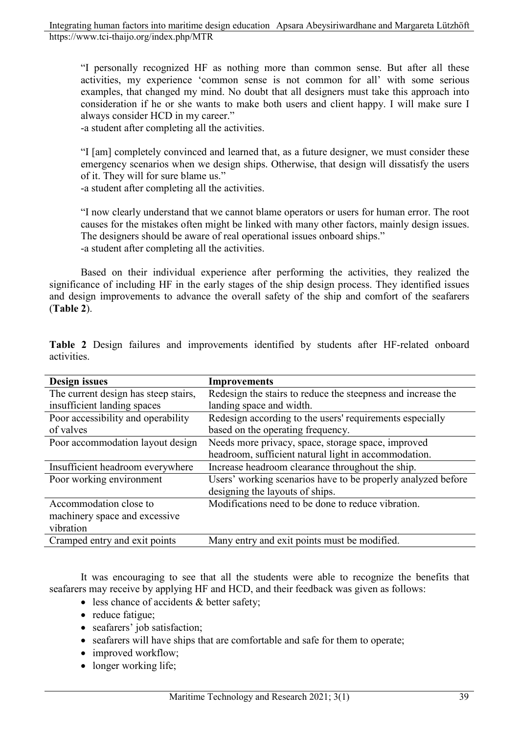"I personally recognized HF as nothing more than common sense. But after all these activities, my experience 'common sense is not common for all' with some serious examples, that changed my mind. No doubt that all designers must take this approach into consideration if he or she wants to make both users and client happy. I will make sure I always consider HCD in my career."

-a student after completing all the activities.

"I [am] completely convinced and learned that, as a future designer, we must consider these emergency scenarios when we design ships. Otherwise, that design will dissatisfy the users of it. They will for sure blame us."

-a student after completing all the activities.

"I now clearly understand that we cannot blame operators or users for human error. The root causes for the mistakes often might be linked with many other factors, mainly design issues. The designers should be aware of real operational issues onboard ships." -a student after completing all the activities.

Based on their individual experience after performing the activities, they realized the significance of including HF in the early stages of the ship design process. They identified issues and design improvements to advance the overall safety of the ship and comfort of the seafarers (**Table 2**).

| <b>Design issues</b>                 | <b>Improvements</b>                                          |
|--------------------------------------|--------------------------------------------------------------|
| The current design has steep stairs, | Redesign the stairs to reduce the steepness and increase the |
| insufficient landing spaces          | landing space and width.                                     |
| Poor accessibility and operability   | Redesign according to the users' requirements especially     |
| of valves                            | based on the operating frequency.                            |
| Poor accommodation layout design     | Needs more privacy, space, storage space, improved           |
|                                      | headroom, sufficient natural light in accommodation.         |
| Insufficient headroom everywhere     | Increase headroom clearance throughout the ship.             |
| Poor working environment             | Users' working scenarios have to be properly analyzed before |
|                                      | designing the layouts of ships.                              |
| Accommodation close to               | Modifications need to be done to reduce vibration.           |
| machinery space and excessive        |                                                              |
| vibration                            |                                                              |
| Cramped entry and exit points        | Many entry and exit points must be modified.                 |

**Table 2** Design failures and improvements identified by students after HF-related onboard activities.

It was encouraging to see that all the students were able to recognize the benefits that seafarers may receive by applying HF and HCD, and their feedback was given as follows:

- less chance of accidents & better safety;
- reduce fatigue;
- seafarers' job satisfaction;
- seafarers will have ships that are comfortable and safe for them to operate;
- improved workflow;
- longer working life;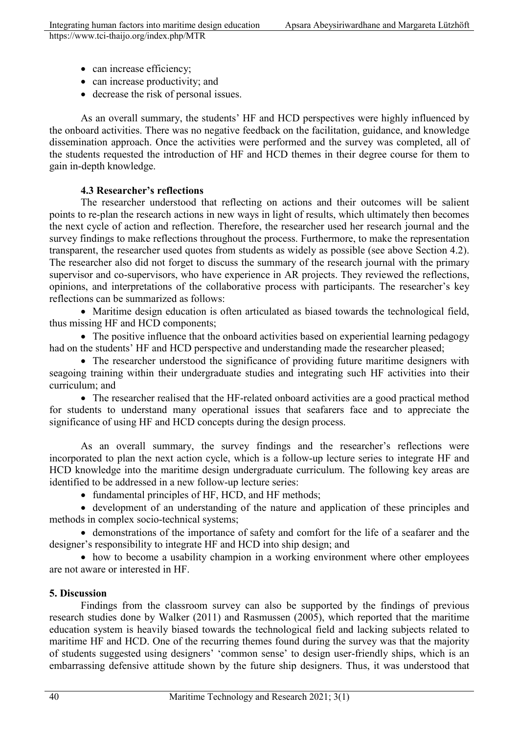- can increase efficiency;
- can increase productivity; and
- decrease the risk of personal issues.

As an overall summary, the students' HF and HCD perspectives were highly influenced by the onboard activities. There was no negative feedback on the facilitation, guidance, and knowledge dissemination approach. Once the activities were performed and the survey was completed, all of the students requested the introduction of HF and HCD themes in their degree course for them to gain in-depth knowledge.

## **4.3 Researcher's reflections**

The researcher understood that reflecting on actions and their outcomes will be salient points to re-plan the research actions in new ways in light of results, which ultimately then becomes the next cycle of action and reflection. Therefore, the researcher used her research journal and the survey findings to make reflections throughout the process. Furthermore, to make the representation transparent, the researcher used quotes from students as widely as possible (see above Section 4.2). The researcher also did not forget to discuss the summary of the research journal with the primary supervisor and co-supervisors, who have experience in AR projects. They reviewed the reflections, opinions, and interpretations of the collaborative process with participants. The researcher's key reflections can be summarized as follows:

• Maritime design education is often articulated as biased towards the technological field, thus missing HF and HCD components;

• The positive influence that the onboard activities based on experiential learning pedagogy had on the students' HF and HCD perspective and understanding made the researcher pleased;

• The researcher understood the significance of providing future maritime designers with seagoing training within their undergraduate studies and integrating such HF activities into their curriculum; and

• The researcher realised that the HF-related onboard activities are a good practical method for students to understand many operational issues that seafarers face and to appreciate the significance of using HF and HCD concepts during the design process.

As an overall summary, the survey findings and the researcher's reflections were incorporated to plan the next action cycle, which is a follow-up lecture series to integrate HF and HCD knowledge into the maritime design undergraduate curriculum. The following key areas are identified to be addressed in a new follow-up lecture series:

• fundamental principles of HF, HCD, and HF methods;

• development of an understanding of the nature and application of these principles and methods in complex socio-technical systems;

• demonstrations of the importance of safety and comfort for the life of a seafarer and the designer's responsibility to integrate HF and HCD into ship design; and

• how to become a usability champion in a working environment where other employees are not aware or interested in HF.

## **5. Discussion**

Findings from the classroom survey can also be supported by the findings of previous research studies done by Walker (2011) and Rasmussen (2005), which reported that the maritime education system is heavily biased towards the technological field and lacking subjects related to maritime HF and HCD. One of the recurring themes found during the survey was that the majority of students suggested using designers' 'common sense' to design user-friendly ships, which is an embarrassing defensive attitude shown by the future ship designers. Thus, it was understood that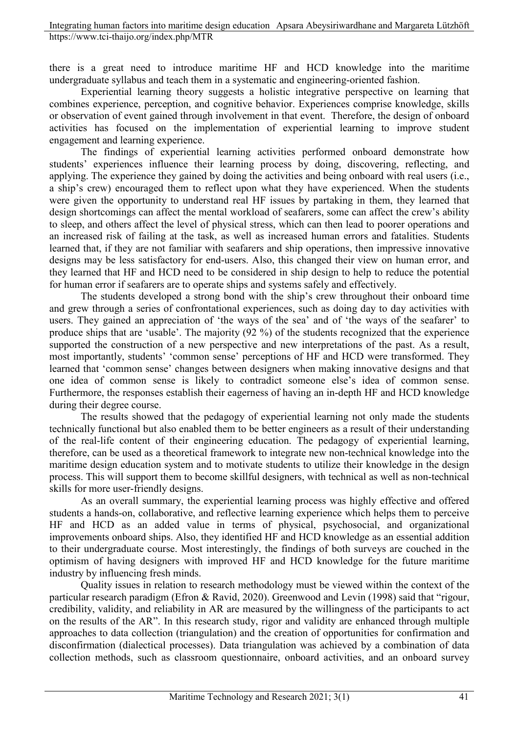there is a great need to introduce maritime HF and HCD knowledge into the maritime undergraduate syllabus and teach them in a systematic and engineering-oriented fashion.

Experiential learning theory suggests a holistic integrative perspective on learning that combines experience, perception, and cognitive behavior. Experiences comprise knowledge, skills or observation of event gained through involvement in that event. Therefore, the design of onboard activities has focused on the implementation of experiential learning to improve student engagement and learning experience.

The findings of experiential learning activities performed onboard demonstrate how students' experiences influence their learning process by doing, discovering, reflecting, and applying. The experience they gained by doing the activities and being onboard with real users (i.e., a ship's crew) encouraged them to reflect upon what they have experienced. When the students were given the opportunity to understand real HF issues by partaking in them, they learned that design shortcomings can affect the mental workload of seafarers, some can affect the crew's ability to sleep, and others affect the level of physical stress, which can then lead to poorer operations and an increased risk of failing at the task, as well as increased human errors and fatalities. Students learned that, if they are not familiar with seafarers and ship operations, then impressive innovative designs may be less satisfactory for end-users. Also, this changed their view on human error, and they learned that HF and HCD need to be considered in ship design to help to reduce the potential for human error if seafarers are to operate ships and systems safely and effectively.

The students developed a strong bond with the ship's crew throughout their onboard time and grew through a series of confrontational experiences, such as doing day to day activities with users. They gained an appreciation of 'the ways of the sea' and of 'the ways of the seafarer' to produce ships that are 'usable'. The majority (92 %) of the students recognized that the experience supported the construction of a new perspective and new interpretations of the past. As a result, most importantly, students' 'common sense' perceptions of HF and HCD were transformed. They learned that 'common sense' changes between designers when making innovative designs and that one idea of common sense is likely to contradict someone else's idea of common sense. Furthermore, the responses establish their eagerness of having an in-depth HF and HCD knowledge during their degree course.

The results showed that the pedagogy of experiential learning not only made the students technically functional but also enabled them to be better engineers as a result of their understanding of the real-life content of their engineering education. The pedagogy of experiential learning, therefore, can be used as a theoretical framework to integrate new non-technical knowledge into the maritime design education system and to motivate students to utilize their knowledge in the design process. This will support them to become skillful designers, with technical as well as non-technical skills for more user-friendly designs.

As an overall summary, the experiential learning process was highly effective and offered students a hands-on, collaborative, and reflective learning experience which helps them to perceive HF and HCD as an added value in terms of physical, psychosocial, and organizational improvements onboard ships. Also, they identified HF and HCD knowledge as an essential addition to their undergraduate course. Most interestingly, the findings of both surveys are couched in the optimism of having designers with improved HF and HCD knowledge for the future maritime industry by influencing fresh minds.

Quality issues in relation to research methodology must be viewed within the context of the particular research paradigm (Efron & Ravid, 2020). Greenwood and Levin (1998) said that "rigour, credibility, validity, and reliability in AR are measured by the willingness of the participants to act on the results of the AR". In this research study, rigor and validity are enhanced through multiple approaches to data collection (triangulation) and the creation of opportunities for confirmation and disconfirmation (dialectical processes). Data triangulation was achieved by a combination of data collection methods, such as classroom questionnaire, onboard activities, and an onboard survey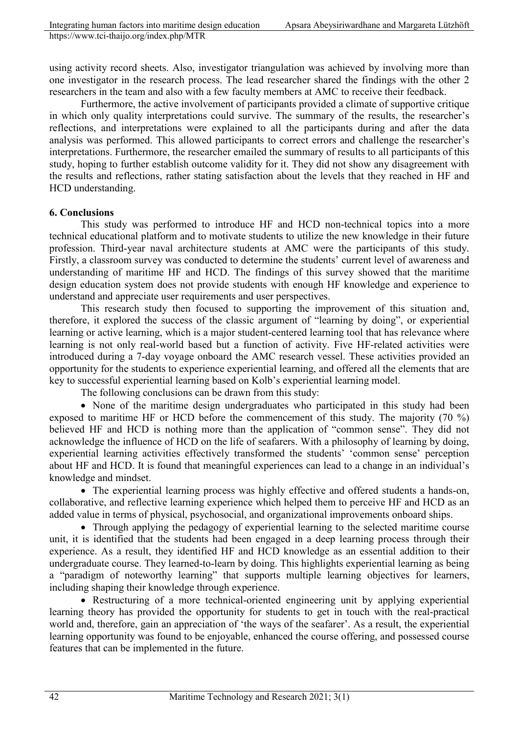using activity record sheets. Also, investigator triangulation was achieved by involving more than one investigator in the research process. The lead researcher shared the findings with the other 2 researchers in the team and also with a few faculty members at AMC to receive their feedback.

Furthermore, the active involvement of participants provided a climate of supportive critique in which only quality interpretations could survive. The summary of the results, the researcher's reflections, and interpretations were explained to all the participants during and after the data analysis was performed. This allowed participants to correct errors and challenge the researcher's interpretations. Furthermore, the researcher emailed the summary of results to all participants of this study, hoping to further establish outcome validity for it. They did not show any disagreement with the results and reflections, rather stating satisfaction about the levels that they reached in HF and HCD understanding.

### **6. Conclusions**

This study was performed to introduce HF and HCD non-technical topics into a more technical educational platform and to motivate students to utilize the new knowledge in their future profession. Third-year naval architecture students at AMC were the participants of this study. Firstly, a classroom survey was conducted to determine the students' current level of awareness and understanding of maritime HF and HCD. The findings of this survey showed that the maritime design education system does not provide students with enough HF knowledge and experience to understand and appreciate user requirements and user perspectives.

This research study then focused to supporting the improvement of this situation and, therefore, it explored the success of the classic argument of "learning by doing", or experiential learning or active learning, which is a major student-centered learning tool that has relevance where learning is not only real-world based but a function of activity. Five HF-related activities were introduced during a 7-day voyage onboard the AMC research vessel. These activities provided an opportunity for the students to experience experiential learning, and offered all the elements that are key to successful experiential learning based on Kolb's experiential learning model.

The following conclusions can be drawn from this study:

• None of the maritime design undergraduates who participated in this study had been exposed to maritime HF or HCD before the commencement of this study. The majority (70 %) believed HF and HCD is nothing more than the application of "common sense". They did not acknowledge the influence of HCD on the life of seafarers. With a philosophy of learning by doing, experiential learning activities effectively transformed the students' 'common sense' perception about HF and HCD. It is found that meaningful experiences can lead to a change in an individual's knowledge and mindset.

• The experiential learning process was highly effective and offered students a hands-on, collaborative, and reflective learning experience which helped them to perceive HF and HCD as an added value in terms of physical, psychosocial, and organizational improvements onboard ships.

• Through applying the pedagogy of experiential learning to the selected maritime course unit, it is identified that the students had been engaged in a deep learning process through their experience. As a result, they identified HF and HCD knowledge as an essential addition to their undergraduate course. They learned-to-learn by doing. This highlights experiential learning as being a "paradigm of noteworthy learning" that supports multiple learning objectives for learners, including shaping their knowledge through experience.

• Restructuring of a more technical-oriented engineering unit by applying experiential learning theory has provided the opportunity for students to get in touch with the real-practical world and, therefore, gain an appreciation of 'the ways of the seafarer'. As a result, the experiential learning opportunity was found to be enjoyable, enhanced the course offering, and possessed course features that can be implemented in the future.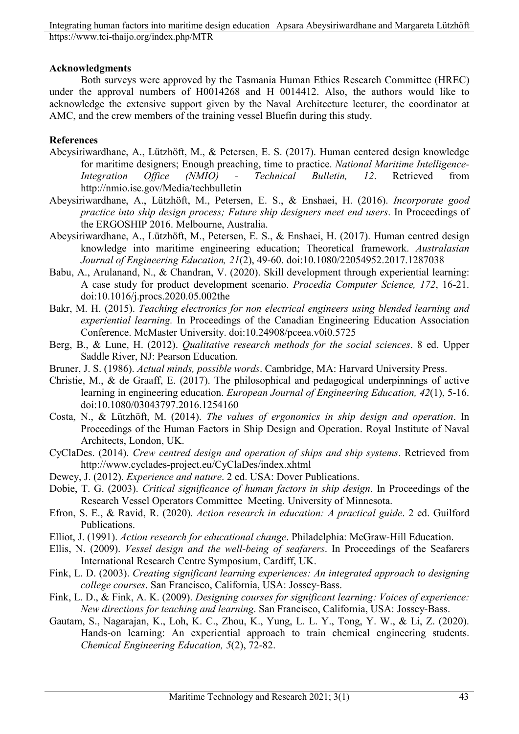### **Acknowledgments**

Both surveys were approved by the Tasmania Human Ethics Research Committee (HREC) under the approval numbers of H0014268 and H 0014412. Also, the authors would like to acknowledge the extensive support given by the Naval Architecture lecturer, the coordinator at AMC, and the crew members of the training vessel Bluefin during this study.

## **References**

- Abeysiriwardhane, A., Lützhöft, M., & Petersen, E. S. (2017). Human centered design knowledge for maritime designers; Enough preaching, time to practice. *National Maritime Intelligence-Integration Office (NMIO) - Technical Bulletin, 12*. Retrieved from http://nmio.ise.gov/Media/techbulletin
- Abeysiriwardhane, A., Lützhöft, M., Petersen, E. S., & Enshaei, H. (2016). *Incorporate good practice into ship design process; Future ship designers meet end users*. In Proceedings of the ERGOSHIP 2016. Melbourne, Australia.
- Abeysiriwardhane, A., Lützhöft, M., Petersen, E. S., & Enshaei, H. (2017). Human centred design knowledge into maritime engineering education; Theoretical framework. *Australasian Journal of Engineering Education, 21*(2), 49-60. doi:10.1080/22054952.2017.1287038
- Babu, A., Arulanand, N., & Chandran, V. (2020). Skill development through experiential learning: A case study for product development scenario. *Procedia Computer Science, 172*, 16-21. doi:10.1016/j.procs.2020.05.002the
- Bakr, M. H. (2015). *Teaching electronics for non electrical engineers using blended learning and experiential learning.* In Proceedings of the Canadian Engineering Education Association Conference. McMaster University. doi:10.24908/pceea.v0i0.5725
- Berg, B., & Lune, H. (2012). *Qualitative research methods for the social sciences*. 8 ed. Upper Saddle River, NJ: Pearson Education.
- Bruner, J. S. (1986). *Actual minds, possible words*. Cambridge, MA: Harvard University Press.
- Christie, M., & de Graaff, E. (2017). The philosophical and pedagogical underpinnings of active learning in engineering education. *European Journal of Engineering Education, 42*(1), 5-16. doi:10.1080/03043797.2016.1254160
- Costa, N., & Lützhöft, M. (2014). *The values of ergonomics in ship design and operation*. In Proceedings of the Human Factors in Ship Design and Operation. Royal Institute of Naval Architects, London, UK.
- CyClaDes. (2014). *Crew centred design and operation of ships and ship systems*. Retrieved from http://www.cyclades-project.eu/CyClaDes/index.xhtml
- Dewey, J. (2012). *Experience and nature*. 2 ed. USA: Dover Publications.
- Dobie, T. G. (2003). *Critical significance of human factors in ship design*. In Proceedings of the Research Vessel Operators Committee Meeting. University of Minnesota.
- Efron, S. E., & Ravid, R. (2020). *Action research in education: A practical guide*. 2 ed. Guilford Publications.
- Elliot, J. (1991). *Action research for educational change*. Philadelphia: McGraw-Hill Education.
- Ellis, N. (2009). *Vessel design and the well-being of seafarers*. In Proceedings of the Seafarers International Research Centre Symposium, Cardiff, UK.
- Fink, L. D. (2003). *Creating significant learning experiences: An integrated approach to designing college courses*. San Francisco, California, USA: Jossey-Bass.
- Fink, L. D., & Fink, A. K. (2009). *Designing courses for significant learning: Voices of experience: New directions for teaching and learning*. San Francisco, California, USA: Jossey-Bass.
- Gautam, S., Nagarajan, K., Loh, K. C., Zhou, K., Yung, L. L. Y., Tong, Y. W., & Li, Z. (2020). Hands-on learning: An experiential approach to train chemical engineering students. *Chemical Engineering Education, 5*(2), 72-82.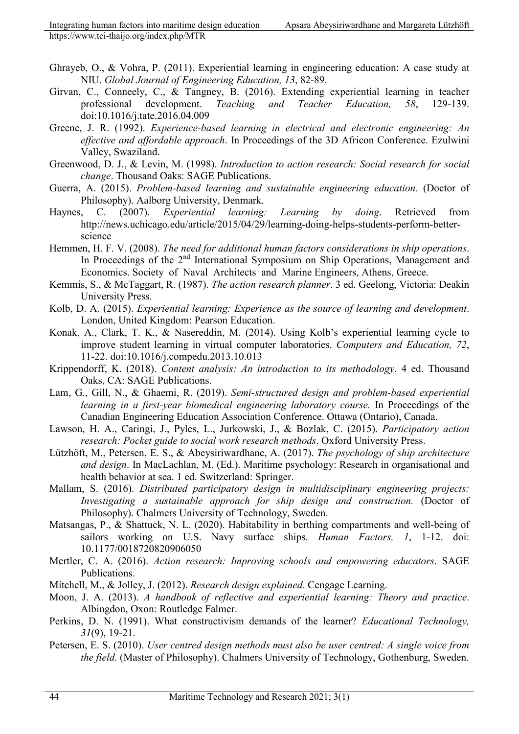- Ghrayeb, O., & Vohra, P. (2011). Experiential learning in engineering education: A case study at NIU. *Global Journal of Engineering Education, 13*, 82-89.
- Girvan, C., Conneely, C., & Tangney, B. (2016). Extending experiential learning in teacher professional development. *Teaching and Teacher Education, 58*, 129-139. doi:10.1016/j.tate.2016.04.009
- Greene, J. R. (1992). *Experience-based learning in electrical and electronic engineering: An effective and affordable approach*. In Proceedings of the 3D Africon Conference. Ezulwini Valley, Swaziland.
- Greenwood, D. J., & Levin, M. (1998). *Introduction to action research: Social research for social change*. Thousand Oaks: SAGE Publications.
- Guerra, A. (2015). *Problem-based learning and sustainable engineering education.* (Doctor of Philosophy). Aalborg University, Denmark.
- Haynes, C. (2007). *Experiential learning: Learning by doing*. Retrieved from http://news.uchicago.edu/article/2015/04/29/learning-doing-helps-students-perform-betterscience
- Hemmen, H. F. V. (2008). *The need for additional human factors considerations in ship operations*. In Proceedings of the 2<sup>nd</sup> International Symposium on Ship Operations, Management and Economics. Society of Naval Architects and Marine Engineers, Athens, Greece.
- Kemmis, S., & McTaggart, R. (1987). *The action research planner*. 3 ed. Geelong, Victoria: Deakin University Press.
- Kolb, D. A. (2015). *Experiential learning: Experience as the source of learning and development*. London, United Kingdom: Pearson Education.
- Konak, A., Clark, T. K., & Nasereddin, M. (2014). Using Kolb's experiential learning cycle to improve student learning in virtual computer laboratories. *Computers and Education, 72*, 11-22. doi:10.1016/j.compedu.2013.10.013
- Krippendorff, K. (2018). *Content analysis: An introduction to its methodology*. 4 ed. Thousand Oaks, CA: SAGE Publications.
- Lam, G., Gill, N., & Ghaemi, R. (2019). *Semi-structured design and problem-based experiential learning in a first-year biomedical engineering laboratory course.* In Proceedings of the Canadian Engineering Education Association Conference. Ottawa (Ontario), Canada.
- Lawson, H. A., Caringi, J., Pyles, L., Jurkowski, J., & Bozlak, C. (2015). *Participatory action research: Pocket guide to social work research methods*. Oxford University Press.
- Lützhöft, M., Petersen, E. S., & Abeysiriwardhane, A. (2017). *The psychology of ship architecture and design*. In MacLachlan, M. (Ed.). Maritime psychology: Research in organisational and health behavior at sea. 1 ed. Switzerland: Springer.
- Mallam, S. (2016). *Distributed participatory design in multidisciplinary engineering projects: Investigating a sustainable approach for ship design and construction.* (Doctor of Philosophy). Chalmers University of Technology, Sweden.
- Matsangas, P., & Shattuck, N. L. (2020). Habitability in berthing compartments and well-being of sailors working on U.S. Navy surface ships. *Human Factors, 1*, 1-12. doi: 10.1177/0018720820906050
- Mertler, C. A. (2016). *Action research: Improving schools and empowering educators*. SAGE Publications.
- Mitchell, M., & Jolley, J. (2012). *Research design explained*. Cengage Learning.
- Moon, J. A. (2013). *A handbook of reflective and experiential learning: Theory and practice*. Albingdon, Oxon: Routledge Falmer.
- Perkins, D. N. (1991). What constructivism demands of the learner? *Educational Technology, 31*(9), 19-21.
- Petersen, E. S. (2010). *User centred design methods must also be user centred: A single voice from the field.* (Master of Philosophy). Chalmers University of Technology, Gothenburg, Sweden.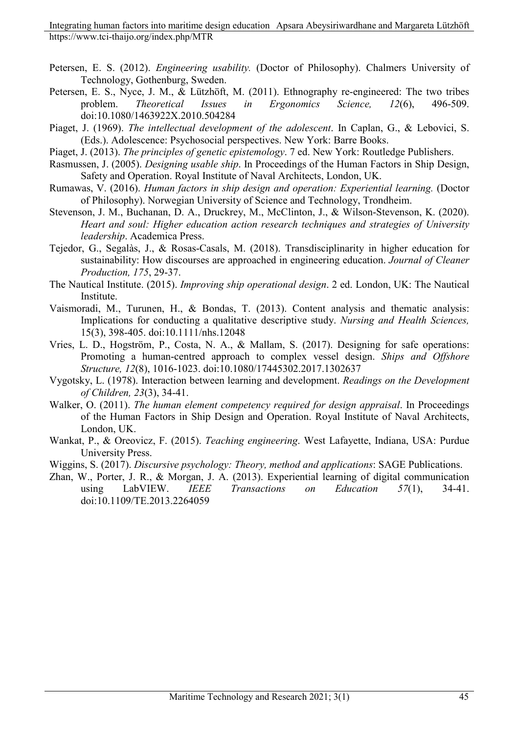- Petersen, E. S. (2012). *Engineering usability.* (Doctor of Philosophy). Chalmers University of Technology, Gothenburg, Sweden.
- Petersen, E. S., Nyce, J. M., & Lützhöft, M. (2011). Ethnography re-engineered: The two tribes problem. *Theoretical Issues in Ergonomics Science, 12*(6), 496-509. doi:10.1080/1463922X.2010.504284
- Piaget, J. (1969). *The intellectual development of the adolescent*. In Caplan, G., & Lebovici, S. (Eds.). Adolescence: Psychosocial perspectives. New York: Barre Books.
- Piaget, J. (2013). *The principles of genetic epistemology*. 7 ed. New York: Routledge Publishers.
- Rasmussen, J. (2005). *Designing usable ship*. In Proceedings of the Human Factors in Ship Design, Safety and Operation. Royal Institute of Naval Architects, London, UK.
- Rumawas, V. (2016). *Human factors in ship design and operation: Experiential learning.* (Doctor of Philosophy). Norwegian University of Science and Technology, Trondheim.
- Stevenson, J. M., Buchanan, D. A., Druckrey, M., McClinton, J., & Wilson-Stevenson, K. (2020). *Heart and soul: Higher education action research techniques and strategies of University leadership*. Academica Press.
- Tejedor, G., Segalàs, J., & Rosas-Casals, M. (2018). Transdisciplinarity in higher education for sustainability: How discourses are approached in engineering education. *Journal of Cleaner Production, 175*, 29-37.
- The Nautical Institute. (2015). *Improving ship operational design*. 2 ed. London, UK: The Nautical Institute.
- Vaismoradi, M., Turunen, H., & Bondas, T. (2013). Content analysis and thematic analysis: Implications for conducting a qualitative descriptive study. *Nursing and Health Sciences,* 15(3), 398-405. doi:10.1111/nhs.12048
- Vries, L. D., Hogström, P., Costa, N. A., & Mallam, S. (2017). Designing for safe operations: Promoting a human-centred approach to complex vessel design. *Ships and Offshore Structure, 12*(8), 1016-1023. doi:10.1080/17445302.2017.1302637
- Vygotsky, L. (1978). Interaction between learning and development. *Readings on the Development of Children, 23*(3), 34-41.
- Walker, O. (2011). *The human element competency required for design appraisal*. In Proceedings of the Human Factors in Ship Design and Operation. Royal Institute of Naval Architects, London, UK.
- Wankat, P., & Oreovicz, F. (2015). *Teaching engineering*. West Lafayette, Indiana, USA: Purdue University Press.
- Wiggins, S. (2017). *Discursive psychology: Theory, method and applications*: SAGE Publications.
- Zhan, W., Porter, J. R., & Morgan, J. A. (2013). Experiential learning of digital communication using LabVIEW. *IEEE Transactions on Education 57*(1), 34-41. doi:10.1109/TE.2013.2264059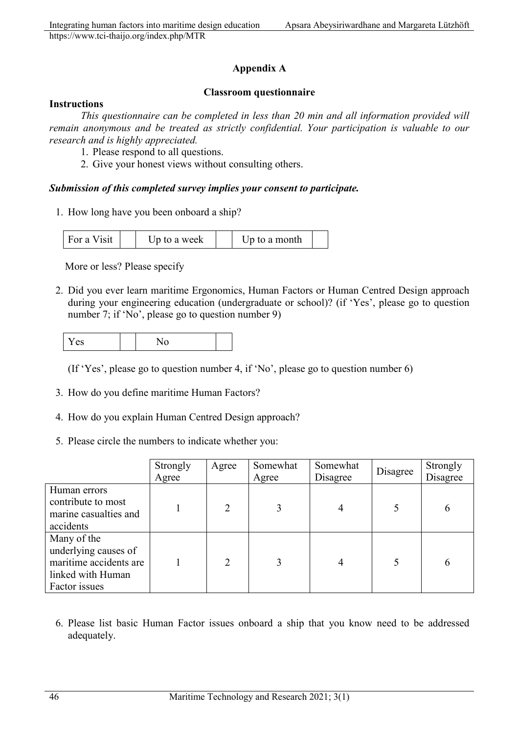## **Appendix A**

### **Classroom questionnaire**

### **Instructions**

*This questionnaire can be completed in less than 20 min and all information provided will remain anonymous and be treated as strictly confidential. Your participation is valuable to our research and is highly appreciated.*

- 1. Please respond to all questions.
- 2. Give your honest views without consulting others.

### *Submission of this completed survey implies your consent to participate.*

1. How long have you been onboard a ship?

| For a Visit<br>Up to a week | Up to a month |  |
|-----------------------------|---------------|--|
|-----------------------------|---------------|--|

More or less? Please specify

2. Did you ever learn maritime Ergonomics, Human Factors or Human Centred Design approach during your engineering education (undergraduate or school)? (if 'Yes', please go to question number 7; if 'No', please go to question number 9)

| - -<br>Y es | N0 |  |
|-------------|----|--|
|-------------|----|--|

(If 'Yes', please go to question number 4, if 'No', please go to question number 6)

- 3. How do you define maritime Human Factors?
- 4. How do you explain Human Centred Design approach?
- 5. Please circle the numbers to indicate whether you:

|                                                                                                     | Strongly<br>Agree | Agree          | Somewhat<br>Agree | Somewhat<br>Disagree | Disagree | Strongly<br>Disagree |
|-----------------------------------------------------------------------------------------------------|-------------------|----------------|-------------------|----------------------|----------|----------------------|
| Human errors<br>contribute to most<br>marine casualties and<br>accidents                            |                   | $\mathcal{D}$  | 3                 |                      |          | 6                    |
| Many of the<br>underlying causes of<br>maritime accidents are<br>linked with Human<br>Factor issues |                   | $\mathfrak{D}$ | 3                 | 4                    |          | 6                    |

6. Please list basic Human Factor issues onboard a ship that you know need to be addressed adequately.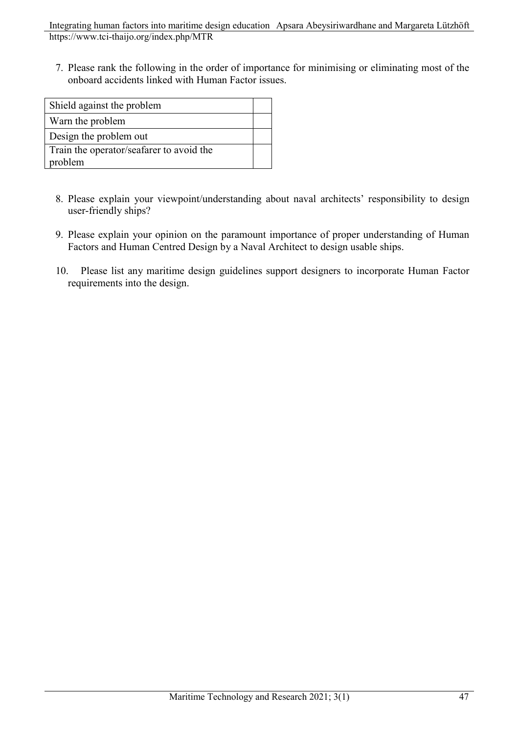Integrating human factors into maritime design education Apsara Abeysiriwardhane and Margareta Lützhöft https://www.tci-thaijo.org/index.php/MTR

7. Please rank the following in the order of importance for minimising or eliminating most of the onboard accidents linked with Human Factor issues.

| Shield against the problem               |  |
|------------------------------------------|--|
| Warn the problem                         |  |
| Design the problem out                   |  |
| Train the operator/seafarer to avoid the |  |
| problem                                  |  |

- 8. Please explain your viewpoint/understanding about naval architects' responsibility to design user-friendly ships?
- 9. Please explain your opinion on the paramount importance of proper understanding of Human Factors and Human Centred Design by a Naval Architect to design usable ships.
- 10. Please list any maritime design guidelines support designers to incorporate Human Factor requirements into the design.